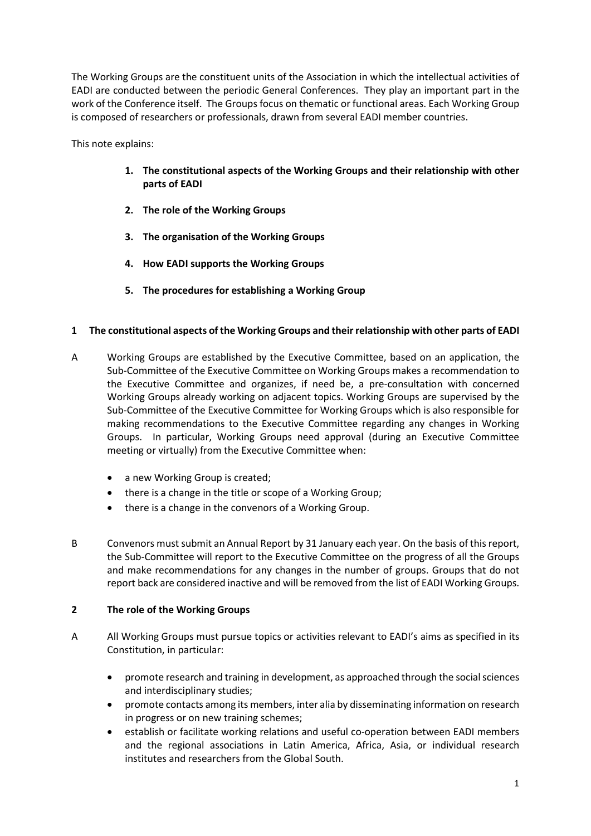The Working Groups are the constituent units of the Association in which the intellectual activities of EADI are conducted between the periodic General Conferences. They play an important part in the work of the Conference itself. The Groups focus on thematic or functional areas. Each Working Group is composed of researchers or professionals, drawn from several EADI member countries.

This note explains:

- 1. The constitutional aspects of the Working Groups and their relationship with other parts of EADI
- 2. The role of the Working Groups
- 3. The organisation of the Working Groups
- 4. How EADI supports the Working Groups
- 5. The procedures for establishing a Working Group

# 1 The constitutional aspects of the Working Groups and their relationship with other parts of EADI

- A Working Groups are established by the Executive Committee, based on an application, the Sub-Committee of the Executive Committee on Working Groups makes a recommendation to the Executive Committee and organizes, if need be, a pre-consultation with concerned Working Groups already working on adjacent topics. Working Groups are supervised by the Sub-Committee of the Executive Committee for Working Groups which is also responsible for making recommendations to the Executive Committee regarding any changes in Working Groups. In particular, Working Groups need approval (during an Executive Committee meeting or virtually) from the Executive Committee when:
	- a new Working Group is created;
	- there is a change in the title or scope of a Working Group;
	- there is a change in the convenors of a Working Group.
- B Convenors must submit an Annual Report by 31 January each year. On the basis of this report, the Sub-Committee will report to the Executive Committee on the progress of all the Groups and make recommendations for any changes in the number of groups. Groups that do not report back are considered inactive and will be removed from the list of EADI Working Groups.

# 2 The role of the Working Groups

- A All Working Groups must pursue topics or activities relevant to EADI's aims as specified in its Constitution, in particular:
	- promote research and training in development, as approached through the social sciences and interdisciplinary studies;
	- promote contacts among its members, inter alia by disseminating information on research in progress or on new training schemes;
	- establish or facilitate working relations and useful co-operation between EADI members and the regional associations in Latin America, Africa, Asia, or individual research institutes and researchers from the Global South.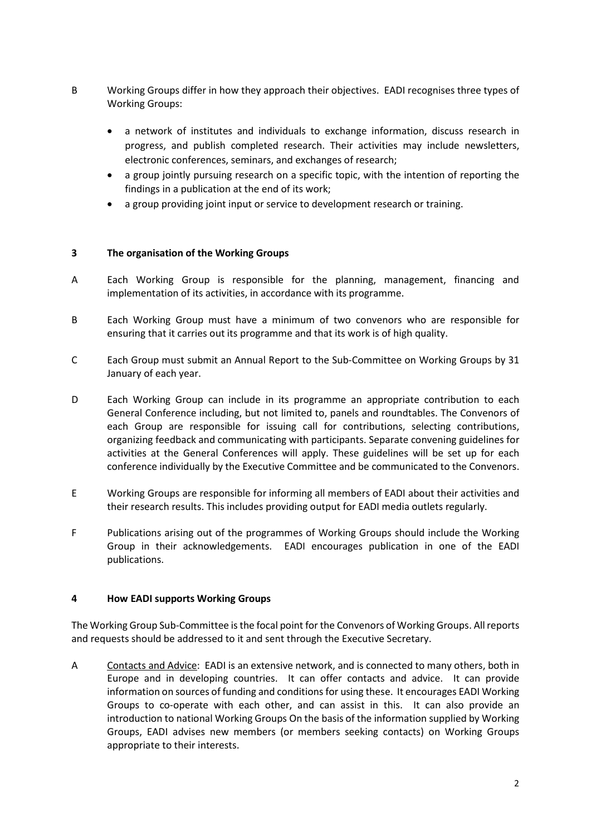- B Working Groups differ in how they approach their objectives. EADI recognises three types of Working Groups:
	- a network of institutes and individuals to exchange information, discuss research in progress, and publish completed research. Their activities may include newsletters, electronic conferences, seminars, and exchanges of research;
	- a group jointly pursuing research on a specific topic, with the intention of reporting the findings in a publication at the end of its work;
	- a group providing joint input or service to development research or training.

## 3 The organisation of the Working Groups

- A Each Working Group is responsible for the planning, management, financing and implementation of its activities, in accordance with its programme.
- B Each Working Group must have a minimum of two convenors who are responsible for ensuring that it carries out its programme and that its work is of high quality.
- C Each Group must submit an Annual Report to the Sub-Committee on Working Groups by 31 January of each year.
- D Each Working Group can include in its programme an appropriate contribution to each General Conference including, but not limited to, panels and roundtables. The Convenors of each Group are responsible for issuing call for contributions, selecting contributions, organizing feedback and communicating with participants. Separate convening guidelines for activities at the General Conferences will apply. These guidelines will be set up for each conference individually by the Executive Committee and be communicated to the Convenors.
- E Working Groups are responsible for informing all members of EADI about their activities and their research results. This includes providing output for EADI media outlets regularly.
- F Publications arising out of the programmes of Working Groups should include the Working Group in their acknowledgements. EADI encourages publication in one of the EADI publications.

### 4 How EADI supports Working Groups

The Working Group Sub-Committee is the focal point for the Convenors of Working Groups. All reports and requests should be addressed to it and sent through the Executive Secretary.

A Contacts and Advice: EADI is an extensive network, and is connected to many others, both in Europe and in developing countries. It can offer contacts and advice. It can provide information on sources of funding and conditions for using these. It encourages EADI Working Groups to co-operate with each other, and can assist in this. It can also provide an introduction to national Working Groups On the basis of the information supplied by Working Groups, EADI advises new members (or members seeking contacts) on Working Groups appropriate to their interests.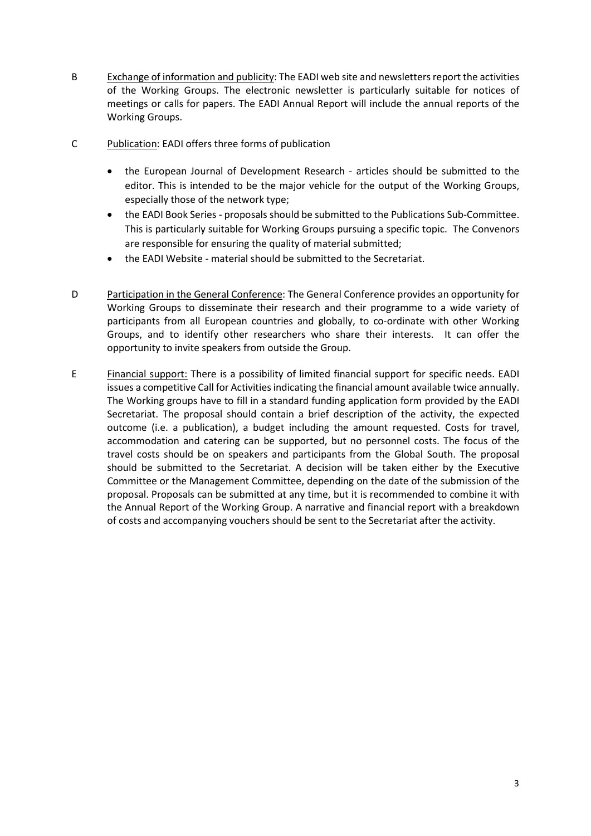- B Exchange of information and publicity: The EADI web site and newsletters report the activities of the Working Groups. The electronic newsletter is particularly suitable for notices of meetings or calls for papers. The EADI Annual Report will include the annual reports of the Working Groups.
- C Publication: EADI offers three forms of publication
	- the European Journal of Development Research articles should be submitted to the editor. This is intended to be the major vehicle for the output of the Working Groups, especially those of the network type;
	- the EADI Book Series proposals should be submitted to the Publications Sub-Committee. This is particularly suitable for Working Groups pursuing a specific topic. The Convenors are responsible for ensuring the quality of material submitted;
	- the EADI Website material should be submitted to the Secretariat.
- D Participation in the General Conference: The General Conference provides an opportunity for Working Groups to disseminate their research and their programme to a wide variety of participants from all European countries and globally, to co-ordinate with other Working Groups, and to identify other researchers who share their interests. It can offer the opportunity to invite speakers from outside the Group.
- E Financial support: There is a possibility of limited financial support for specific needs. EADI issues a competitive Call for Activities indicating the financial amount available twice annually. The Working groups have to fill in a standard funding application form provided by the EADI Secretariat. The proposal should contain a brief description of the activity, the expected outcome (i.e. a publication), a budget including the amount requested. Costs for travel, accommodation and catering can be supported, but no personnel costs. The focus of the travel costs should be on speakers and participants from the Global South. The proposal should be submitted to the Secretariat. A decision will be taken either by the Executive Committee or the Management Committee, depending on the date of the submission of the proposal. Proposals can be submitted at any time, but it is recommended to combine it with the Annual Report of the Working Group. A narrative and financial report with a breakdown of costs and accompanying vouchers should be sent to the Secretariat after the activity.